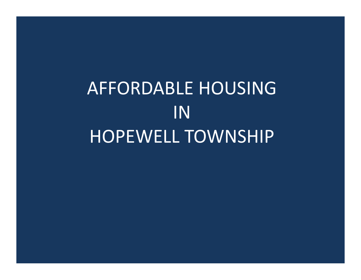AFFORDABLE HOUSING INHOPEWELL TOWNSHIP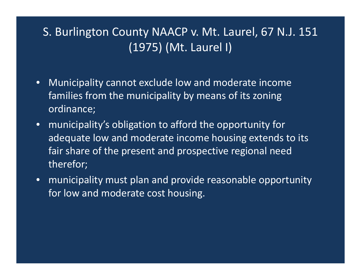## S. Burlington County NAACP v. Mt. Laurel, 67 N.J. 151 (1975) (Mt. Laurel I)

- $\bullet$  Municipality cannot exclude low and moderate income families from the municipality by means of its zoning ordinance;
- municipality's obligation to afford the opportunity for adequate low and moderate income housing extends to its fair share of the present and prospective regional need therefor;
- municipality must plan and provide reasonable opportunity for low and moderate cost housing.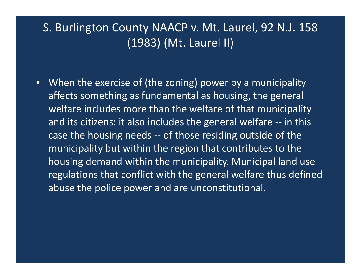### S. Burlington County NAACP v. Mt. Laurel, 92 N.J. 158 (1983) (Mt. Laurel II)

• When the exercise of (the zoning) power by <sup>a</sup> municipality affects something as fundamental as housing, the general welfare includes more than the welfare of that municipality and its citizens: it also includes the general welfare ‐‐ in this case the housing needs ‐‐ of those residing outside of the municipality but within the region that contributes to the housing demand within the municipality. Municipal land use regulations that conflict with the general welfare thus defined abuse the police power and are unconstitutional.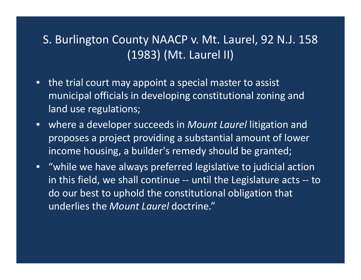### S. Burlington County NAACP v. Mt. Laurel, 92 N.J. 158 (1983) (Mt. Laurel II)

- the trial court may appoint <sup>a</sup> special master to assist municipal officials in developing constitutional zoning and land use regulations;
- where <sup>a</sup> developer succeeds in *Mount Laurel* litigation and proposes <sup>a</sup> project providing <sup>a</sup> substantial amount of lower income housing, <sup>a</sup> builder's remedy should be granted;
- "while we have always preferred legislative to judicial action in this field, we shall continue ‐‐ until the Legislature acts ‐‐ to do our best to uphold the constitutional obligation that underlies the *Mount Laurel* doctrine."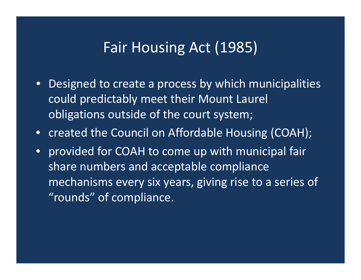## Fair Housing Act (1985)

- Designed to create <sup>a</sup> process by which municipalities could predictably meet their Mount Laurel obligations outside of the court system;
- created the Council on Affordable Housing (COAH);
- • provided for COAH to come up with municipal fair share numbers and acceptable compliance mechanisms every six years, giving rise to <sup>a</sup> series of "rounds" of compliance.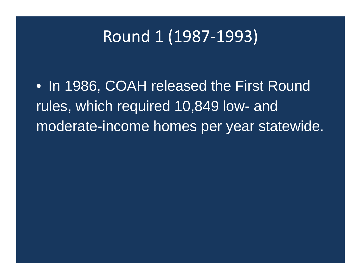# Round 1 (1987‐1993)

• In 1986, COAH released the First Round rules, which required 10,849 low- and moderate-income homes per year statewide.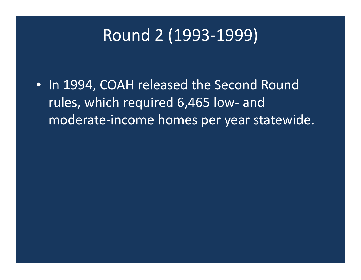# Round 2 (1993‐1999)

• In 1994, COAH released the Second Round rules, which required 6,465 low‐ and moderate‐income homes per year statewide.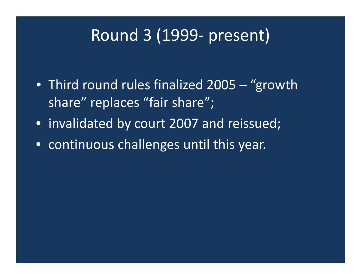# Round 3 (1999‐ present)

- Third round rules finalized 2005 "growth share" replaces "fair share";
- invalidated by court 2007 and reissued;
- continuous challenges until this year.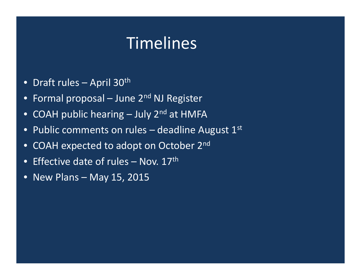# Timelines

- $\bullet$ • Draft rules – April 30<sup>th</sup>
- $\bullet$ Formal proposal – June  $2^{nd}$  NJ Register
- $\bullet$ • COAH public hearing – July 2<sup>nd</sup> at HMFA
- $\bullet$  $\bullet~$  Public comments on rules – deadline August  $1^\text{st}$
- $\bullet$  $\bullet$  COAH expected to adopt on October 2<sup>nd</sup>
- $\bullet$  $\bullet$  Effective date of rules – Nov. 17<sup>th</sup>
- $\bullet$ • New Plans – May 15, 2015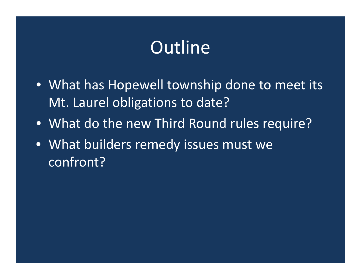# **Outline**

- What has Hopewell township done to meet its Mt. Laurel obligations to date?
- What do the new Third Round rules require?
- What builders remedy issues must we confront?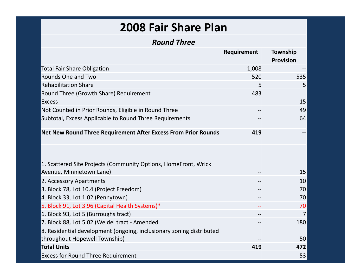### **2008 Fair Share Plan**

#### *Round Three*

|                                                                      | Requirement | Township         |
|----------------------------------------------------------------------|-------------|------------------|
|                                                                      |             | <b>Provision</b> |
| <b>Total Fair Share Obligation</b>                                   | 1,008       |                  |
| <b>Rounds One and Two</b>                                            | 520         | 535              |
| <b>Rehabilitation Share</b>                                          | 5           | 5 <sup>1</sup>   |
| Round Three (Growth Share) Requirement                               | 483         |                  |
| <b>Excess</b>                                                        | --          | 15               |
| Not Counted in Prior Rounds, Eligible in Round Three                 |             | 49               |
| Subtotal, Excess Applicable to Round Three Requirements              |             | 64               |
| Net New Round Three Requirement After Excess From Prior Rounds       | 419         |                  |
|                                                                      |             |                  |
| 1. Scattered Site Projects (Community Options, HomeFront, Wrick      |             |                  |
| Avenue, Minnietown Lane)                                             |             | 15               |
| 2. Accessory Apartments                                              | --          | 10               |
| 3. Block 78, Lot 10.4 (Project Freedom)                              | --          | 70               |
| 4. Block 33, Lot 1.02 (Pennytown)                                    | $-$         | 70               |
| 5. Block 91, Lot 3.96 (Capital Health Systems)*                      | --          | 70               |
| 6. Block 93, Lot 5 (Burroughs tract)                                 | --          | $\overline{7}$   |
| 7. Block 88, Lot 5.02 (Weidel tract - Amended                        |             | 180              |
| 8. Residential development (ongoing, inclusionary zoning distributed |             |                  |
| throughout Hopewell Township)                                        |             | 50               |
| <b>Total Units</b>                                                   | 419         | 472              |
| <b>Excess for Round Three Requirement</b>                            |             | 53               |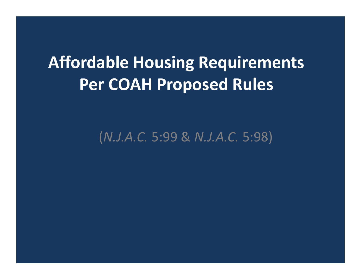# **Affordable Housing Requirements Per COAH Proposed Rules**

(*N.J.A.C.* 5:99 & *N.J.A.C.* 5:98)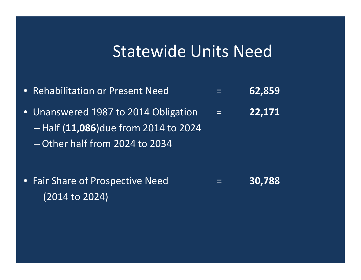## Statewide Units Need

- $\bullet$  Rehabilitation or Present Need <sup>=</sup> **62,859** • Unanswered 1987 to 2014 Obligation <sup>=</sup> **22,171**  $\mathcal{L}_{\mathcal{A}}$  Half (**11,086**)due from 2014 to 2024 – Other half from 2024 to 2034
- Fair Share of Prospective Need <sup>=</sup> **30,788** (2014 to 2024)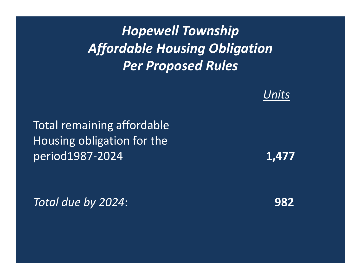*Hopewell Township Affordable Housing Obligation Per Proposed Rules*

#### *Units*

Total remaining affordable Housing obligation for the period1987‐2024 **1,477**

*Total due by 2024*: **982**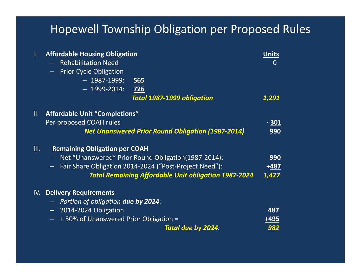## Hopewell Township Obligation per Proposed Rules

| $\mathbf{L}$ | <b>Affordable Housing Obligation</b>                               | <b>Units</b> |
|--------------|--------------------------------------------------------------------|--------------|
|              | <b>Rehabilitation Need</b>                                         | $\Omega$     |
|              | <b>Prior Cycle Obligation</b><br>$\frac{1}{2}$ .                   |              |
|              | $-$ 1987-1999:<br>565                                              |              |
|              | $-$ 1999-2014:<br>726                                              |              |
|              | Total 1987-1999 obligation                                         | 1,291        |
| Ш.           | <b>Affordable Unit "Completions"</b>                               |              |
|              | Per proposed COAH rules                                            | <u>- 301</u> |
|              | <b>Net Unanswered Prior Round Obligation (1987-2014)</b>           | 990          |
| III.         | <b>Remaining Obligation per COAH</b>                               |              |
|              | - Net "Unanswered" Prior Round Obligation(1987-2014):              | 990          |
|              | Fair Share Obligation 2014-2024 ("Post-Project Need"):<br>$\sim$ . | $+487$       |
|              | <b>Total Remaining Affordable Unit obligation 1987-2024</b>        | 1,477        |
| IV.          | <b>Delivery Requirements</b>                                       |              |
|              | - Portion of obligation <b>due by 2024</b> :                       |              |
|              | - 2014-2024 Obligation                                             | 487          |
|              | +50% of Unanswered Prior Obligation =<br>Ē.                        | +495         |
|              | Total due by 2024:                                                 | 982          |
|              |                                                                    |              |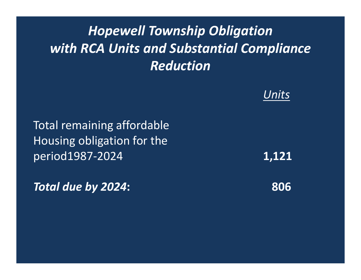## *Hopewell Township Obligation with RCA Units and Substantial Compliance Reduction*

#### *Units*

Total remaining affordable Housing obligation for the period1987‐2024 **1,121**

*Total due by 2024***: 806**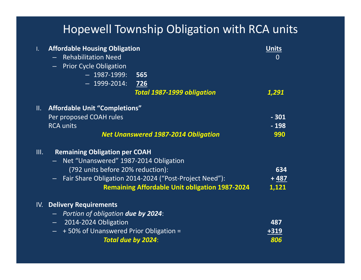## Hopewell Township Obligation with RCA units

| $\mathbf{L}$ | <b>Affordable Housing Obligation</b><br><b>Rehabilitation Need</b><br>- Prior Cycle Obligation |                                                        | <b>Units</b><br>$\Omega$ |
|--------------|------------------------------------------------------------------------------------------------|--------------------------------------------------------|--------------------------|
|              | $-$ 1987-1999:                                                                                 | 565                                                    |                          |
|              | $-$ 1999-2014:                                                                                 | 726                                                    |                          |
|              |                                                                                                | <b>Total 1987-1999 obligation</b>                      | 1,291                    |
| II.          | <b>Affordable Unit "Completions"</b>                                                           |                                                        |                          |
|              | Per proposed COAH rules                                                                        |                                                        | $-301$                   |
|              | <b>RCA units</b>                                                                               |                                                        | $-198$                   |
|              |                                                                                                | <b>Net Unanswered 1987-2014 Obligation</b>             | 990                      |
| III.         | <b>Remaining Obligation per COAH</b>                                                           |                                                        |                          |
|              | - Net "Unanswered" 1987-2014 Obligation                                                        |                                                        |                          |
|              | (792 units before 20% reduction):                                                              |                                                        | 634                      |
|              |                                                                                                | Fair Share Obligation 2014-2024 ("Post-Project Need"): | $+487$                   |
|              |                                                                                                | <b>Remaining Affordable Unit obligation 1987-2024</b>  | 1,121                    |
|              | IV. Delivery Requirements                                                                      |                                                        |                          |
|              | - Portion of obligation due by 2024:                                                           |                                                        |                          |
|              | - 2014-2024 Obligation                                                                         |                                                        | 487                      |
|              | +50% of Unanswered Prior Obligation =                                                          |                                                        | 319                      |
|              |                                                                                                | Total due by 2024:                                     | 806                      |
|              |                                                                                                |                                                        |                          |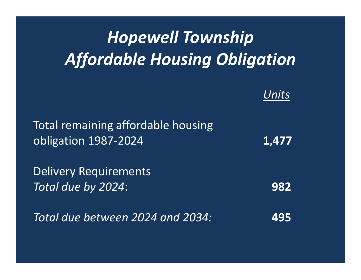# *Hopewell Township Affordable Housing Obligation*

#### *Units*

| Total remaining affordable housing<br>obligation 1987-2024 | 1,477 |
|------------------------------------------------------------|-------|
| <b>Delivery Requirements</b><br>Total due by 2024:         | 982   |
| Total due between 2024 and 2034:                           | 495   |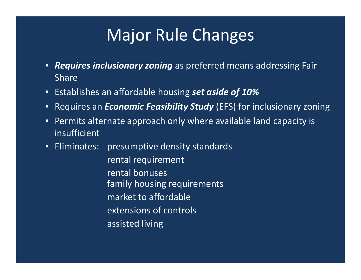# Major Rule Changes

- *Requires inclusionary zoning* as preferred means addressing Fair Share
- Establishes an affordable housing *set aside of 10%*
- Requires an *Economic Feasibility Study* (EFS) for inclusionary zoning
- Permits alternate approach only where available land capacity is insufficient
- Eliminates: presumptive density standards

rental requirement rental bonuses family housing requirements market to affordable extensions of controls assisted living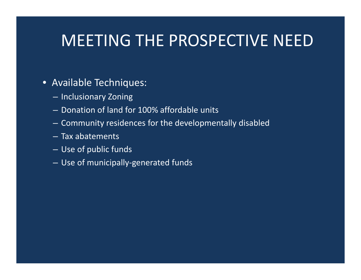# MEETING THE PROSPECTIVE NEED

#### • Available Techniques:

- Inclusionary Zoning
- Donation of land for 100% affordable units
- Community residences for the developmentally disabled
- Tax abatements
- Use of public funds
- Use of municipally‐generated funds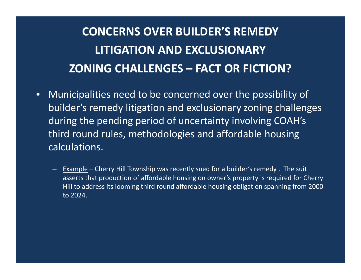## **CONCERNS OVER BUILDER'S REMEDY LITIGATION AND EXCLUSIONARY ZONING CHALLENGES – FACT OR FICTION?**

- $\bullet$  Municipalities need to be concerned over the possibility of builder's remedy litigation and exclusionary zoning challenges during the pending period of uncertainty involving COAH's third round rules, methodologies and affordable housing calculations.
	- $-$  Example Cherry Hill Township was recently sued for a builder's remedy . The suit asserts that production of affordable housing on owner's property is required for Cherry Hill to address its looming third round affordable housing obligation spanning from 2000 to 2024.